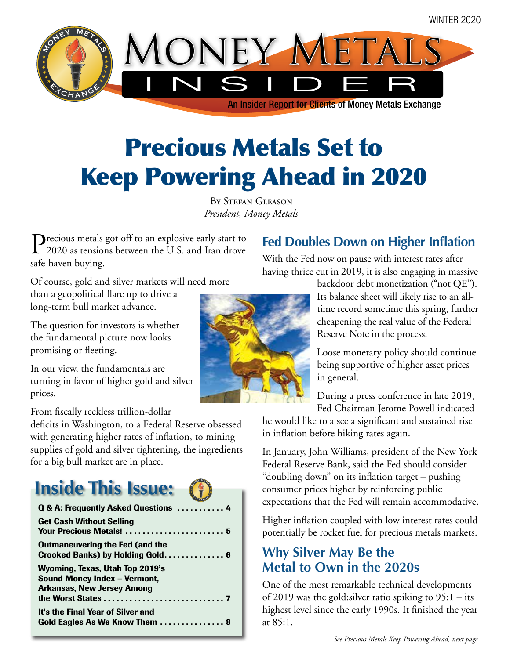

# Precious Metals Set to Keep Powering Ahead in 2020

BY STEFAN GLEASON *President, Money Metals*

Precious metals got off to an explosive early start to 2020 as tensions between the U.S. and Iran drove safe-haven buying.

**Fed Doubles Down on Higher Inflation**

With the Fed now on pause with interest rates after having thrice cut in 2019, it is also engaging in massive

> backdoor debt monetization ("not QE"). Its balance sheet will likely rise to an alltime record sometime this spring, further cheapening the real value of the Federal Reserve Note in the process.

Loose monetary policy should continue being supportive of higher asset prices in general.

During a press conference in late 2019, Fed Chairman Jerome Powell indicated

he would like to a see a significant and sustained rise in inflation before hiking rates again.

In January, John Williams, president of the New York Federal Reserve Bank, said the Fed should consider "doubling down" on its inflation target – pushing consumer prices higher by reinforcing public expectations that the Fed will remain accommodative.

Higher inflation coupled with low interest rates could potentially be rocket fuel for precious metals markets.

### **Why Silver May Be the Metal to Own in the 2020s**

One of the most remarkable technical developments of 2019 was the gold:silver ratio spiking to 95:1 – its highest level since the early 1990s. It finished the year at 85:1.

Of course, gold and silver markets will need more

than a geopolitical flare up to drive a long-term bull market advance.

The question for investors is whether the fundamental picture now looks promising or fleeting.

In our view, the fundamentals are turning in favor of higher gold and silver prices.

From fiscally reckless trillion-dollar

deficits in Washington, to a Federal Reserve obsessed with generating higher rates of inflation, to mining supplies of gold and silver tightening, the ingredients for a big bull market are in place.

**ONES METALS** 

# **Inside This Issue:**

| Q & A: Frequently Asked Questions  4                                                                 |
|------------------------------------------------------------------------------------------------------|
| <b>Get Cash Without Selling</b><br>Your Precious Metals!  5                                          |
| <b>Outmaneuvering the Fed (and the</b><br>Crooked Banks) by Holding Gold 6                           |
| Wyoming, Texas, Utah Top 2019's<br>Sound Money Index - Vermont,<br><b>Arkansas, New Jersey Among</b> |
| It's the Final Year of Silver and<br>Gold Eagles As We Know Them  8                                  |

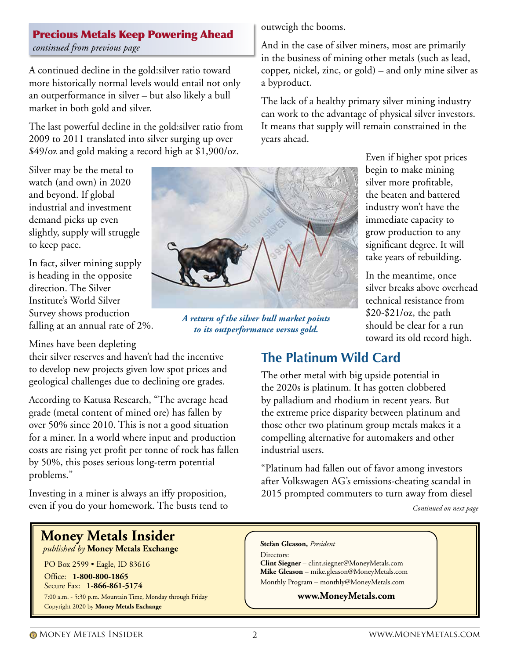### *continued from previous page*

A continued decline in the gold:silver ratio toward more historically normal levels would entail not only an outperformance in silver – but also likely a bull market in both gold and silver.

Precious Metals Keep Powering Ahead

The last powerful decline in the gold:silver ratio from 2009 to 2011 translated into silver surging up over \$49/oz and gold making a record high at \$1,900/oz.

Silver may be the metal to watch (and own) in 2020 and beyond. If global industrial and investment demand picks up even slightly, supply will struggle to keep pace.

In fact, silver mining supply is heading in the opposite direction. The Silver Institute's World Silver Survey shows production falling at an annual rate of 2%.

Mines have been depleting

their silver reserves and haven't had the incentive to develop new projects given low spot prices and geological challenges due to declining ore grades.

According to Katusa Research, "The average head grade (metal content of mined ore) has fallen by over 50% since 2010. This is not a good situation for a miner. In a world where input and production costs are rising yet profit per tonne of rock has fallen by 50%, this poses serious long-term potential problems."

Investing in a miner is always an iffy proposition, even if you do your homework. The busts tend to

### **Money Metals Insider**

 *published by* **Money Metals Exchange**

PO Box 2599 • Eagle, ID 83616

Office: **1-800-800-1865** Secure Fax: **1-866-861-5174**  7:00 a.m. - 5:30 p.m. Mountain Time, Monday through Friday Copyright 2020 by **Money Metals Exchange**

outweigh the booms.

And in the case of silver miners, most are primarily in the business of mining other metals (such as lead, copper, nickel, zinc, or gold) – and only mine silver as a byproduct.

The lack of a healthy primary silver mining industry can work to the advantage of physical silver investors. It means that supply will remain constrained in the years ahead.

> Even if higher spot prices begin to make mining silver more profitable, the beaten and battered industry won't have the immediate capacity to grow production to any significant degree. It will take years of rebuilding.

In the meantime, once silver breaks above overhead technical resistance from  $$20-\$21/\text{oz}$ , the path should be clear for a run toward its old record high.

### **The Platinum Wild Card**

The other metal with big upside potential in the 2020s is platinum. It has gotten clobbered by palladium and rhodium in recent years. But the extreme price disparity between platinum and those other two platinum group metals makes it a compelling alternative for automakers and other industrial users.

"Platinum had fallen out of favor among investors after Volkswagen AG's emissions-cheating scandal in 2015 prompted commuters to turn away from diesel

*Continued on next page*

#### **Stefan Gleason,** *President*

Directors: **Clint Siegner** – clint.siegner@MoneyMetals.com **Mike Gleason** – mike.gleason@MoneyMetals.com Monthly Program – monthly@MoneyMetals.com

#### **www.MoneyMetals.com**



*A return of the silver bull market points to its outperformance versus gold.*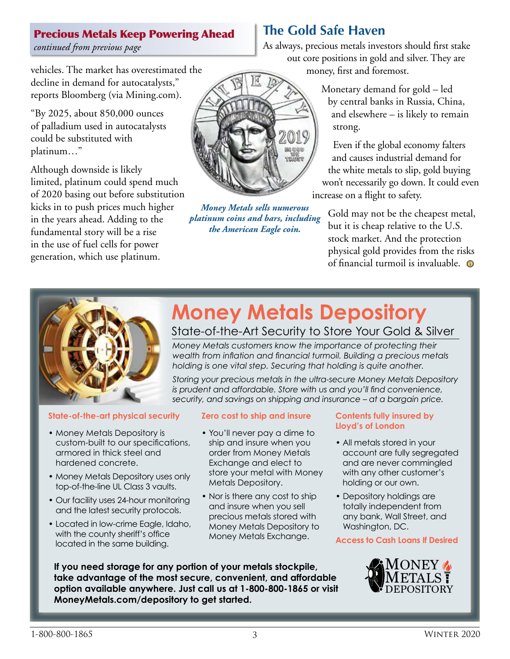### Precious Metals Keep Powering Ahead

*continued from previous page*

vehicles. The market has overestimated the decline in demand for autocatalysts," reports Bloomberg (via Mining.com).

"By 2025, about 850,000 ounces of palladium used in autocatalysts could be substituted with platinum…"

Although downside is likely limited, platinum could spend much of 2020 basing out before substitution kicks in to push prices much higher in the years ahead. Adding to the fundamental story will be a rise in the use of fuel cells for power generation, which use platinum.



*Money Metals sells numerous platinum coins and bars, including the American Eagle coin.*

### **The Gold Safe Haven**

As always, precious metals investors should first stake out core positions in gold and silver. They are money, first and foremost.

> Monetary demand for gold – led by central banks in Russia, China, and elsewhere – is likely to remain strong.

Even if the global economy falters and causes industrial demand for the white metals to slip, gold buying won't necessarily go down. It could even increase on a flight to safety.

Gold may not be the cheapest metal, but it is cheap relative to the U.S. stock market. And the protection physical gold provides from the risks of financial turmoil is invaluable.  $\bullet$ 



### **Money Metals Depository**

### State-of-the-Art Security to Store Your Gold & Silver

*Money Metals customers know the importance of protecting their wealth from inflation and financial turmoil. Building a precious metals holding is one vital step. Securing that holding is quite another.*

*Storing your precious metals in the ultra-secure Money Metals Depository is prudent and affordable. Store with us and you'll find convenience, security, and savings on shipping and insurance – at a bargain price.*

#### **State-of-the-art physical security**

- Money Metals Depository is custom-built to our specifications, armored in thick steel and hardened concrete.
- Money Metals Depository uses only top-of-the-line UL Class 3 vaults.
- Our facility uses 24-hour monitoring and the latest security protocols.
- Located in low-crime Eagle, Idaho, with the county sheriff's office located in the same building.

**Zero cost to ship and insure**

- You'll never pay a dime to ship and insure when you order from Money Metals Exchange and elect to store your metal with Money Metals Depository.
- Nor is there any cost to ship and insure when you sell precious metals stored with Money Metals Depository to Money Metals Exchange.

#### **Contents fully insured by Lloyd's of London**

- All metals stored in your account are fully segregated and are never commingled with any other customer's holding or our own.
- Depository holdings are totally independent from any bank, Wall Street, and Washington, DC.

#### **Access to Cash Loans If Desired**



**If you need storage for any portion of your metals stockpile, take advantage of the most secure, convenient, and affordable option available anywhere. Just call us at 1-800-800-1865 or visit MoneyMetals.com/depository to get started.**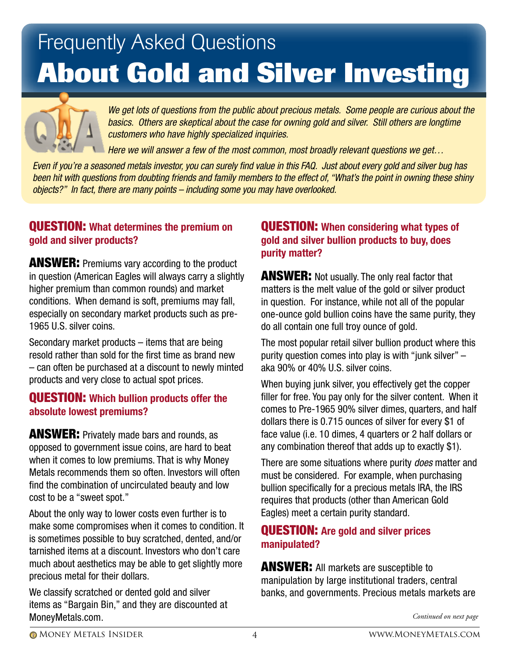# Frequently Asked Questions **About Gold and Silver Investing**



*We get lots of questions from the public about precious metals. Some people are curious about the basics. Others are skeptical about the case for owning gold and silver. Still others are longtime customers who have highly specialized inquiries.* 

*Here we will answer a few of the most common, most broadly relevant questions we get…*

*Even if you're a seasoned metals investor, you can surely find value in this FAQ. Just about every gold and silver bug has been hit with questions from doubting friends and family members to the effect of, "What's the point in owning these shiny objects?" In fact, there are many points – including some you may have overlooked.* 

### QUESTION: **What determines the premium on gold and silver products?**

**ANSWER:** Premiums vary according to the product in question (American Eagles will always carry a slightly higher premium than common rounds) and market conditions. When demand is soft, premiums may fall, especially on secondary market products such as pre-1965 U.S. silver coins.

Secondary market products – items that are being resold rather than sold for the first time as brand new – can often be purchased at a discount to newly minted products and very close to actual spot prices.

#### QUESTION: **Which bullion products offer the absolute lowest premiums?**

**ANSWER:** Privately made bars and rounds, as opposed to government issue coins, are hard to beat when it comes to low premiums. That is why Money Metals recommends them so often. Investors will often find the combination of uncirculated beauty and low cost to be a "sweet spot."

About the only way to lower costs even further is to make some compromises when it comes to condition. It is sometimes possible to buy scratched, dented, and/or tarnished items at a discount. Investors who don't care much about aesthetics may be able to get slightly more precious metal for their dollars.

We classify scratched or dented gold and silver items as "Bargain Bin," and they are discounted at MoneyMetals.com.

### QUESTION: **When considering what types of gold and silver bullion products to buy, does purity matter?**

**ANSWER:** Not usually. The only real factor that matters is the melt value of the gold or silver product in question. For instance, while not all of the popular one-ounce gold bullion coins have the same purity, they do all contain one full troy ounce of gold.

The most popular retail silver bullion product where this purity question comes into play is with "junk silver" – aka 90% or 40% U.S. silver coins.

When buying junk silver, you effectively get the copper filler for free. You pay only for the silver content. When it comes to Pre-1965 90% silver dimes, quarters, and half dollars there is 0.715 ounces of silver for every \$1 of face value (i.e. 10 dimes, 4 quarters or 2 half dollars or any combination thereof that adds up to exactly \$1).

There are some situations where purity *does* matter and must be considered. For example, when purchasing bullion specifically for a precious metals IRA, the IRS requires that products (other than American Gold Eagles) meet a certain purity standard.

### QUESTION: **Are gold and silver prices manipulated?**

**ANSWER:** All markets are susceptible to manipulation by large institutional traders, central banks, and governments. Precious metals markets are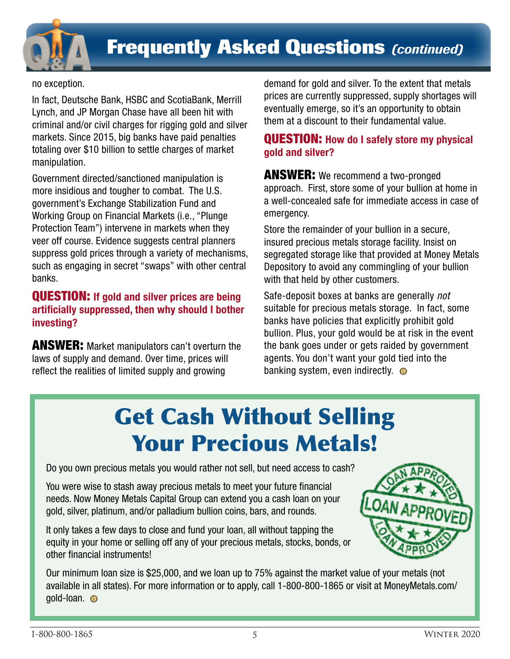

### **Frequently Asked Questions** *(continued)*

no exception.

In fact, Deutsche Bank, HSBC and ScotiaBank, Merrill Lynch, and JP Morgan Chase have all been hit with criminal and/or civil charges for rigging gold and silver markets. Since 2015, big banks have paid penalties totaling over \$10 billion to settle charges of market manipulation.

Government directed/sanctioned manipulation is more insidious and tougher to combat. The U.S. government's Exchange Stabilization Fund and Working Group on Financial Markets (i.e., "Plunge Protection Team") intervene in markets when they veer off course. Evidence suggests central planners suppress gold prices through a variety of mechanisms, such as engaging in secret "swaps" with other central banks.

### QUESTION: **If gold and silver prices are being artificially suppressed, then why should I bother investing?**

**ANSWER:** Market manipulators can't overturn the laws of supply and demand. Over time, prices will reflect the realities of limited supply and growing

demand for gold and silver. To the extent that metals prices are currently suppressed, supply shortages will eventually emerge, so it's an opportunity to obtain them at a discount to their fundamental value.

### QUESTION: **How do I safely store my physical gold and silver?**

**ANSWER:** We recommend a two-pronged approach. First, store some of your bullion at home in a well-concealed safe for immediate access in case of emergency.

Store the remainder of your bullion in a secure, insured precious metals storage facility. Insist on segregated storage like that provided at Money Metals Depository to avoid any commingling of your bullion with that held by other customers.

Safe-deposit boxes at banks are generally *not* suitable for precious metals storage. In fact, some banks have policies that explicitly prohibit gold bullion. Plus, your gold would be at risk in the event the bank goes under or gets raided by government agents. You don't want your gold tied into the banking system, even indirectly.  $\bullet$ 

# Get Cash Without Selling Your Precious Metals!

Do you own precious metals you would rather not sell, but need access to cash?

You were wise to stash away precious metals to meet your future financial needs. Now Money Metals Capital Group can extend you a cash loan on your gold, silver, platinum, and/or palladium bullion coins, bars, and rounds.

It only takes a few days to close and fund your loan, all without tapping the equity in your home or selling off any of your precious metals, stocks, bonds, or other financial instruments!



Our minimum loan size is \$25,000, and we loan up to 75% against the market value of your metals (not available in all states). For more information or to apply, call 1-800-800-1865 or visit at MoneyMetals.com/ gold-loan. **O**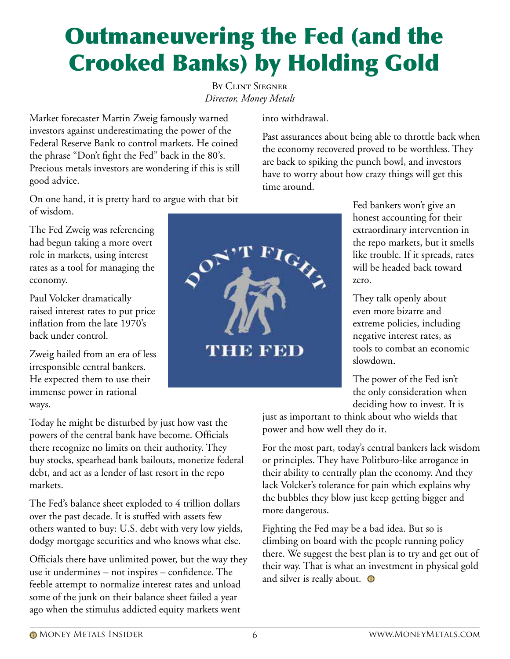# Crooked Banks) by Holding Gold

By Clint Siegner *Director, Money Metals*

Market forecaster Martin Zweig famously warned investors against underestimating the power of the Federal Reserve Bank to control markets. He coined the phrase "Don't fight the Fed" back in the 80's. Precious metals investors are wondering if this is still good advice.

On one hand, it is pretty hard to argue with that bit of wisdom.

The Fed Zweig was referencing had begun taking a more overt role in markets, using interest rates as a tool for managing the economy.

Paul Volcker dramatically raised interest rates to put price inflation from the late 1970's back under control.

Zweig hailed from an era of less irresponsible central bankers. He expected them to use their immense power in rational ways.

Today he might be disturbed by just how vast the powers of the central bank have become. Officials there recognize no limits on their authority. They buy stocks, spearhead bank bailouts, monetize federal debt, and act as a lender of last resort in the repo markets.

The Fed's balance sheet exploded to 4 trillion dollars over the past decade. It is stuffed with assets few others wanted to buy: U.S. debt with very low yields, dodgy mortgage securities and who knows what else.

Officials there have unlimited power, but the way they use it undermines – not inspires – confidence. The feeble attempt to normalize interest rates and unload some of the junk on their balance sheet failed a year ago when the stimulus addicted equity markets went

into withdrawal.

Past assurances about being able to throttle back when the economy recovered proved to be worthless. They are back to spiking the punch bowl, and investors have to worry about how crazy things will get this time around.

> Fed bankers won't give an honest accounting for their extraordinary intervention in the repo markets, but it smells like trouble. If it spreads, rates will be headed back toward zero.

They talk openly about even more bizarre and extreme policies, including negative interest rates, as tools to combat an economic slowdown.

The power of the Fed isn't the only consideration when deciding how to invest. It is

just as important to think about who wields that power and how well they do it.

For the most part, today's central bankers lack wisdom or principles. They have Politburo-like arrogance in their ability to centrally plan the economy. And they lack Volcker's tolerance for pain which explains why the bubbles they blow just keep getting bigger and more dangerous.

Fighting the Fed may be a bad idea. But so is climbing on board with the people running policy there. We suggest the best plan is to try and get out of their way. That is what an investment in physical gold and silver is really about.  $\bullet$ 

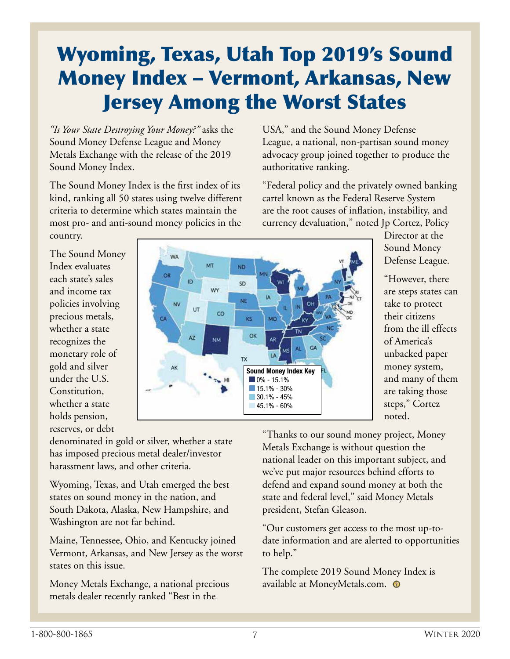### Wyoming, Texas, Utah Top 2019's Sound Money Index – Vermont, Arkansas, New Jersey Among the Worst States

*"Is Your State Destroying Your Money?"* asks the Sound Money Defense League and Money Metals Exchange with the release of the 2019 Sound Money Index.

The Sound Money Index is the first index of its kind, ranking all 50 states using twelve different criteria to determine which states maintain the most pro- and anti-sound money policies in the country.

USA," and the Sound Money Defense League, a national, non-partisan sound money advocacy group joined together to produce the authoritative ranking.

"Federal policy and the privately owned banking cartel known as the Federal Reserve System are the root causes of inflation, instability, and currency devaluation," noted Jp Cortez, Policy

The Sound Money Index evaluates each state's sales and income tax policies involving precious metals, whether a state recognizes the monetary role of gold and silver under the U.S. Constitution, whether a state holds pension, reserves, or debt



Director at the Sound Money Defense League.

"However, there are steps states can take to protect their citizens from the ill effects of America's unbacked paper money system, and many of them are taking those steps," Cortez noted.

denominated in gold or silver, whether a state has imposed precious metal dealer/investor harassment laws, and other criteria.

Wyoming, Texas, and Utah emerged the best states on sound money in the nation, and South Dakota, Alaska, New Hampshire, and Washington are not far behind.

Maine, Tennessee, Ohio, and Kentucky joined Vermont, Arkansas, and New Jersey as the worst states on this issue.

Money Metals Exchange, a national precious metals dealer recently ranked "Best in the

"Thanks to our sound money project, Money Metals Exchange is without question the national leader on this important subject, and we've put major resources behind efforts to defend and expand sound money at both the state and federal level," said Money Metals president, Stefan Gleason.

"Our customers get access to the most up-todate information and are alerted to opportunities to help."

The complete 2019 Sound Money Index is available at MoneyMetals.com.  $\,\circ\!\!\!\!\!\! \bullet\,$